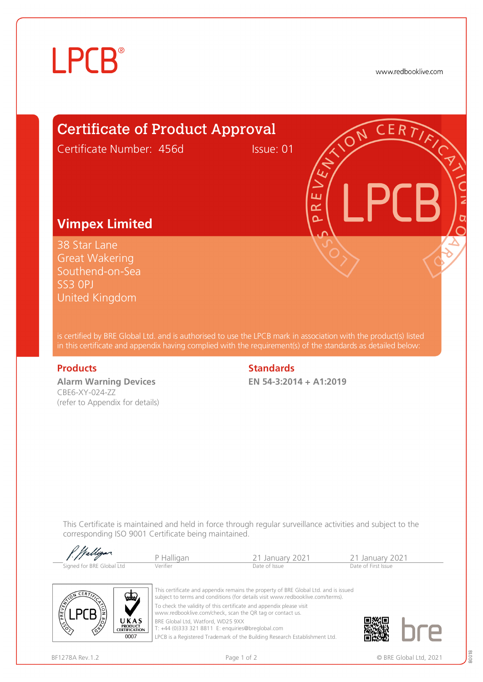## **LPCB**®

www.redbooklive.com

### Certificate of Product Approval

Certificate Number: 456d Issue: 01

#### **Vimpex Limited**

38 Star Lane Great Wakering Southend-on-Sea SS3 0PJ United Kingdom

is certified by BRE Global Ltd. and is authorised to use the LPCB mark in association with the product(s) listed in this certificate and appendix having complied with the requirement(s) of the standards as detailed below:

**Alarm Warning Devices** CBE6-XY-024-ZZ (refer to Appendix for details)

#### **Products** Standards **Standards**

**EN 54-3:2014 + A1:2019**

Ŧ œ  $\Delta$ 

This Certificate is maintained and held in force through regular surveillance activities and subject to the corresponding ISO 9001 Certificate being maintained.

| f. Walligar.              |            |                 |                     |  |
|---------------------------|------------|-----------------|---------------------|--|
|                           | P Halligan | 21 January 2021 | 21 January 2021     |  |
| Signed for BRE Global Ltd | Verifier   | Date of Issue   | Date of First Issue |  |



This certificate and appendix remains the property of BRE Global Ltd. and is issued subject to terms and conditions (for details visit www.redbooklive.com/terms). To check the validity of this certificate and appendix please visit [www.redbooklive.com/check,](http://www.redbooklive.com/check) scan the QR tag or contact us.

BRE Global Ltd, Watford, WD25 9XX T: +44 (0)333 321 8811 E[: enquiries@breglobal.com](mailto:enquiries@breglobal.com)

LPCB is a Registered Trademark of the Building Research Establishment Ltd.



80018